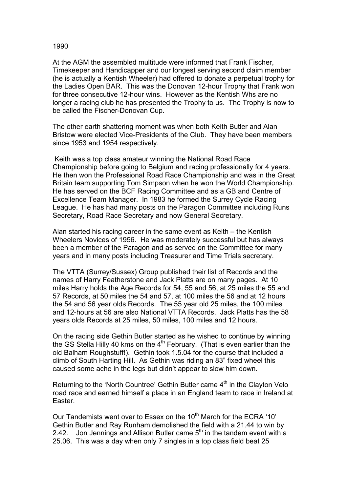## 1990

At the AGM the assembled multitude were informed that Frank Fischer, Timekeeper and Handicapper and our longest serving second claim member (he is actually a Kentish Wheeler) had offered to donate a perpetual trophy for the Ladies Open BAR. This was the Donovan 12-hour Trophy that Frank won for three consecutive 12-hour wins. However as the Kentish Whs are no longer a racing club he has presented the Trophy to us. The Trophy is now to be called the Fischer-Donovan Cup.

The other earth shattering moment was when both Keith Butler and Alan Bristow were elected Vice-Presidents of the Club. They have been members since 1953 and 1954 respectively.

 Keith was a top class amateur winning the National Road Race Championship before going to Belgium and racing professionally for 4 years. He then won the Professional Road Race Championship and was in the Great Britain team supporting Tom Simpson when he won the World Championship. He has served on the BCF Racing Committee and as a GB and Centre of Excellence Team Manager. In 1983 he formed the Surrey Cycle Racing League. He has had many posts on the Paragon Committee including Runs Secretary, Road Race Secretary and now General Secretary.

Alan started his racing career in the same event as Keith – the Kentish Wheelers Novices of 1956. He was moderately successful but has always been a member of the Paragon and as served on the Committee for many years and in many posts including Treasurer and Time Trials secretary.

The VTTA (Surrey/Sussex) Group published their list of Records and the names of Harry Featherstone and Jack Platts are on many pages. At 10 miles Harry holds the Age Records for 54, 55 and 56, at 25 miles the 55 and 57 Records, at 50 miles the 54 and 57, at 100 miles the 56 and at 12 hours the 54 and 56 year olds Records. The 55 year old 25 miles, the 100 miles and 12-hours at 56 are also National VTTA Records. Jack Platts has the 58 years olds Records at 25 miles, 50 miles, 100 miles and 12 hours.

On the racing side Gethin Butler started as he wished to continue by winning the GS Stella Hilly 40 kms on the 4<sup>th</sup> February. (That is even earlier than the old Balham Roughstuff!). Gethin took 1.5.04 for the course that included a climb of South Harting Hill. As Gethin was riding an 83" fixed wheel this caused some ache in the legs but didn't appear to slow him down.

Returning to the 'North Countree' Gethin Butler came  $4<sup>th</sup>$  in the Clayton Velo road race and earned himself a place in an England team to race in Ireland at Easter.

Our Tandemists went over to Essex on the 10<sup>th</sup> March for the ECRA '10' Gethin Butler and Ray Runham demolished the field with a 21.44 to win by 2.42. Jon Jennings and Allison Butler came  $5<sup>th</sup>$  in the tandem event with a 25.06. This was a day when only 7 singles in a top class field beat 25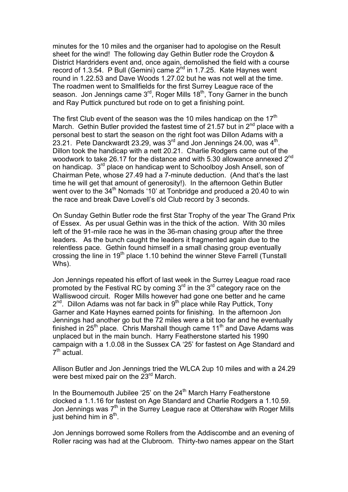minutes for the 10 miles and the organiser had to apologise on the Result sheet for the wind! The following day Gethin Butler rode the Croydon & District Hardriders event and, once again, demolished the field with a course record of 1.3.54. P Bull (Gemini) came  $2^{nd}$  in 1.7.25. Kate Haynes went round in 1.22.53 and Dave Woods 1.27.02 but he was not well at the time. The roadmen went to Smallfields for the first Surrey League race of the season. Jon Jennings came  $3^{rd}$ , Roger Mills  $18^{th}$ , Tony Garner in the bunch and Ray Puttick punctured but rode on to get a finishing point.

The first Club event of the season was the 10 miles handicap on the  $17<sup>th</sup>$ March. Gethin Butler provided the fastest time of 21.57 but in  $2^{nd}$  place with a personal best to start the season on the right foot was Dillon Adams with a 23.21. Pete Danckwardt 23.29, was  $3<sup>rd</sup>$  and Jon Jennings 24.00, was  $4<sup>th</sup>$ . Dillon took the handicap with a nett 20.21. Charlie Rodgers came out of the woodwork to take 26.17 for the distance and with 5.30 allowance annexed 2<sup>nd</sup> on handicap. 3rd place on handicap went to Schoolboy Josh Ansell, son of Chairman Pete, whose 27.49 had a 7-minute deduction. (And that's the last time he will get that amount of generosity!). In the afternoon Gethin Butler went over to the 34<sup>th</sup> Nomads '10' at Tonbridge and produced a 20.40 to win the race and break Dave Lovell's old Club record by 3 seconds.

On Sunday Gethin Butler rode the first Star Trophy of the year The Grand Prix of Essex. As per usual Gethin was in the thick of the action. With 30 miles left of the 91-mile race he was in the 36-man chasing group after the three leaders. As the bunch caught the leaders it fragmented again due to the relentless pace. Gethin found himself in a small chasing group eventually crossing the line in  $19<sup>th</sup>$  place 1.10 behind the winner Steve Farrell (Tunstall Whs).

Jon Jennings repeated his effort of last week in the Surrey League road race promoted by the Festival RC by coming  $3<sup>rd</sup>$  in the  $3<sup>rd</sup>$  category race on the Walliswood circuit. Roger Mills however had gone one better and he came  $2^{nd}$ . Dillon Adams was not far back in  $9^{th}$  place while Ray Puttick, Tony Garner and Kate Haynes earned points for finishing. In the afternoon Jon Jennings had another go but the 72 miles were a bit too far and he eventually finished in  $25<sup>th</sup>$  place. Chris Marshall though came  $11<sup>th</sup>$  and Dave Adams was unplaced but in the main bunch. Harry Featherstone started his 1990 campaign with a 1.0.08 in the Sussex CA '25' for fastest on Age Standard and  $7<sup>th</sup>$  actual.

Allison Butler and Jon Jennings tried the WLCA 2up 10 miles and with a 24.29 were best mixed pair on the 23<sup>rd</sup> March.

In the Bournemouth Jubilee '25' on the  $24<sup>th</sup>$  March Harry Featherstone clocked a 1.1.16 for fastest on Age Standard and Charlie Rodgers a 1.10.59. Jon Jennings was  $7<sup>th</sup>$  in the Surrey League race at Ottershaw with Roger Mills just behind him in  $8^{th}$ .

Jon Jennings borrowed some Rollers from the Addiscombe and an evening of Roller racing was had at the Clubroom. Thirty-two names appear on the Start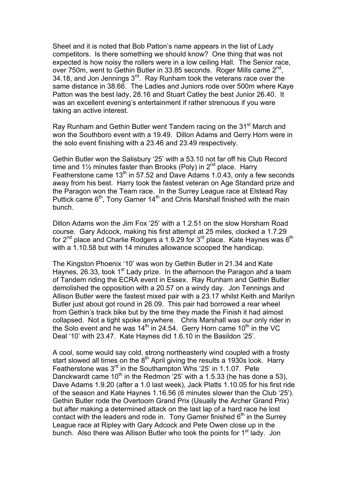Sheet and it is noted that Bob Patton's name appears in the list of Lady competitors. Is there something we should know? One thing that was not expected is how noisy the rollers were in a low ceiling Hall. The Senior race, over 750m, went to Gethin Butler in 33.85 seconds. Roger Mills came 2<sup>nd</sup>, 34.18, and Jon Jennings 3<sup>rd</sup>. Ray Runham took the veterans race over the same distance in 38.66. The Ladies and Juniors rode over 500m where Kaye Patton was the best lady, 28.16 and Stuart Catley the best Junior 26.40. It was an excellent evening's entertainment if rather strenuous if you were taking an active interest.

Ray Runham and Gethin Butler went Tandem racing on the 31<sup>st</sup> March and won the Southboro event with a 19.49. Dillon Adams and Gerry Horn were in the solo event finishing with a 23.46 and 23.49 respectively.

Gethin Butler won the Salisbury '25' with a 53.10 not far off his Club Record time and  $1\frac{1}{2}$  minutes faster than Brooks (Poly) in  $2^{nd}$  place. Harry Featherstone came  $13<sup>th</sup>$  in 57.52 and Dave Adams 1.0.43, only a few seconds away from his best. Harry took the fastest veteran on Age Standard prize and the Paragon won the Team race. In the Surrey League race at Elstead Ray Puttick came 6<sup>th</sup>, Tony Garner 14<sup>th</sup> and Chris Marshall finished with the main bunch.

Dillon Adams won the Jim Fox '25' with a 1.2.51 on the slow Horsham Road course. Gary Adcock, making his first attempt at 25 miles, clocked a 1.7.29 for  $2^{nd}$  place and Charlie Rodgers a 1.9.29 for  $3^{rd}$  place. Kate Haynes was  $6^{th}$ with a 1.10.58 but with 14 minutes allowance scooped the handicap.

The Kingston Phoenix '10' was won by Gethin Butler in 21.34 and Kate Haynes, 26.33, took  $1<sup>st</sup>$  Lady prize. In the afternoon the Paragon ahd a team of Tandem riding the ECRA event in Essex. Ray Runham and Gethin Butler demolished the opposition with a 20.57 on a windy day. Jon Tennings and Allison Butler were the fastest mixed pair with a 23.17 whilst Keith and Marilyn Butler just about got round in 26.09. This pair had borrowed a rear wheel from Gethin's track bike but by the time they made the Finish it had almost collapsed. Not a tight spoke anywhere. Chris Marshall was our only rider in the Solo event and he was  $14<sup>th</sup>$  in 24.54. Gerry Horn came  $10<sup>th</sup>$  in the VC Deal '10' with 23.47. Kate Haynes did 1.6.10 in the Basildon '25'.

A cool, some would say cold, strong northeasterly wind coupled with a frosty start slowed all times on the  $8<sup>th</sup>$  April giving the results a 1930s look. Harry Featherstone was 3rd in the Southampton Whs '25' in 1.1.07. Pete Danckwardt came  $10^{th}$  in the Redmon '25' with a 1.5.33 (he has done a 53). Dave Adams 1.9.20 (after a 1.0 last week), Jack Platts 1.10.05 for his first ride of the season and Kate Haynes 1.16.56 (6 minutes slower than the Club '25'). Gethin Butler rode the Overtoom Grand Prix (Usually the Archer Grand Prix) but after making a determined attack on the last lap of a hard race he lost contact with the leaders and rode in. Tony Garner finished  $6<sup>th</sup>$  in the Surrey League race at Ripley with Gary Adcock and Pete Owen close up in the bunch. Also there was Allison Butler who took the points for 1<sup>st</sup> lady. Jon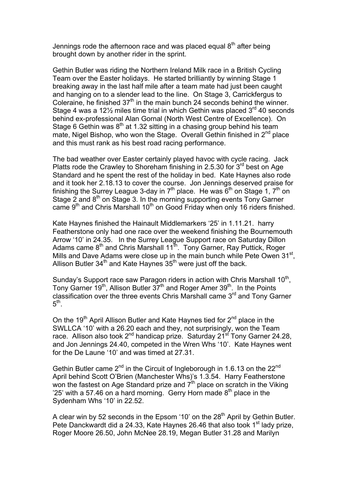Jennings rode the afternoon race and was placed equal  $8<sup>th</sup>$  after being brought down by another rider in the sprint.

Gethin Butler was riding the Northern Ireland Milk race in a British Cycling Team over the Easter holidays. He started brilliantly by winning Stage 1 breaking away in the last half mile after a team mate had just been caught and hanging on to a slender lead to the line. On Stage 3, Carrickfergus to Coleraine, he finished  $37<sup>th</sup>$  in the main bunch 24 seconds behind the winner. Stage 4 was a 12 $\frac{1}{2}$  miles time trial in which Gethin was placed  $3^{rd}$  40 seconds behind ex-professional Alan Gornal (North West Centre of Excellence). On Stage 6 Gethin was  $8<sup>th</sup>$  at 1.32 sitting in a chasing group behind his team mate, Nigel Bishop, who won the Stage. Overall Gethin finished in  $2<sup>nd</sup>$  place and this must rank as his best road racing performance.

The bad weather over Easter certainly played havoc with cycle racing. Jack Platts rode the Crawley to Shoreham finishing in 2.5.30 for  $3<sup>rd</sup>$  best on Age Standard and he spent the rest of the holiday in bed. Kate Haynes also rode and it took her 2.18.13 to cover the course. Jon Jennings deserved praise for finishing the Surrey League 3-day in  $7<sup>th</sup>$  place. He was  $6<sup>th</sup>$  on Stage 1,  $7<sup>th</sup>$  on Stage 2 and  $8<sup>th</sup>$  on Stage 3. In the morning supporting events Tony Garner came  $9<sup>th</sup>$  and Chris Marshall 10<sup>th</sup> on Good Friday when only 16 riders finished.

Kate Haynes finished the Hainault Middlemarkers '25' in 1.11.21. harry Featherstone only had one race over the weekend finishing the Bournemouth Arrow '10' in 24.35. In the Surrey League Support race on Saturday Dillon Adams came 8<sup>th</sup> and Chris Marshall 11<sup>th</sup>. Tony Garner, Ray Puttick, Roger Mills and Dave Adams were close up in the main bunch while Pete Owen 31<sup>st</sup>, Allison Butler  $34<sup>th</sup>$  and Kate Haynes  $35<sup>th</sup>$  were just off the back.

Sunday's Support race saw Paragon riders in action with Chris Marshall 10<sup>th</sup>, Tony Garner 19<sup>th</sup>, Allison Butler  $37<sup>th</sup>$  and Roger Amer 39<sup>th</sup>. In the Points classification over the three events Chris Marshall came 3<sup>rd</sup> and Tony Garner  $5<sup>th</sup>$ .

On the 19<sup>th</sup> April Allison Butler and Kate Haynes tied for  $2^{nd}$  place in the SWLLCA '10' with a 26.20 each and they, not surprisingly, won the Team race. Allison also took  $2^{nd}$  handicap prize. Saturday  $21^{sf}$  Tony Garner 24.28, and Jon Jennings 24.40, competed in the Wren Whs '10'. Kate Haynes went for the De Laune '10' and was timed at 27.31.

Gethin Butler came  $2^{nd}$  in the Circuit of Ingleborough in 1.6.13 on the  $22^{nd}$ April behind Scott O'Brien (Manchester Whs)'s 1.3.54. Harry Featherstone won the fastest on Age Standard prize and 7<sup>th</sup> place on scratch in the Viking '25' with a 57.46 on a hard morning. Gerry Horn made  $8<sup>th</sup>$  place in the Sydenham Whs '10' in 22.52.

A clear win by 52 seconds in the Epsom '10' on the  $28<sup>th</sup>$  April by Gethin Butler. Pete Danckwardt did a 24.33, Kate Haynes 26.46 that also took 1<sup>st</sup> lady prize, Roger Moore 26.50, John McNee 28.19, Megan Butler 31.28 and Marilyn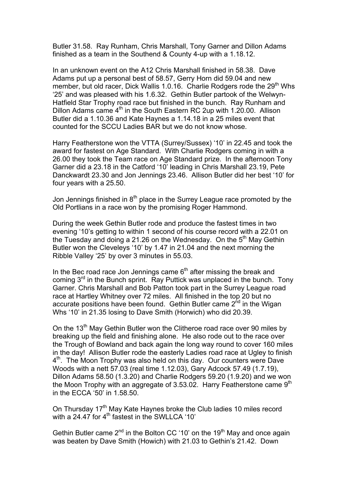Butler 31.58. Ray Runham, Chris Marshall, Tony Garner and Dillon Adams finished as a team in the Southend & County 4-up with a 1.18.12.

In an unknown event on the A12 Chris Marshall finished in 58.38. Dave Adams put up a personal best of 58.57, Gerry Horn did 59.04 and new member, but old racer, Dick Wallis 1.0.16. Charlie Rodgers rode the 29<sup>th</sup> Whs '25' and was pleased with his 1.6.32. Gethin Butler partook of the Welwyn-Hatfield Star Trophy road race but finished in the bunch. Ray Runham and Dillon Adams came  $4<sup>th</sup>$  in the South Eastern RC 2up with 1.20.00. Allison Butler did a 1.10.36 and Kate Haynes a 1.14.18 in a 25 miles event that counted for the SCCU Ladies BAR but we do not know whose.

Harry Featherstone won the VTTA (Surrey/Sussex) '10' in 22.45 and took the award for fastest on Age Standard. With Charlie Rodgers coming in with a 26.00 they took the Team race on Age Standard prize. In the afternoon Tony Garner did a 23.18 in the Catford '10' leading in Chris Marshall 23.19, Pete Danckwardt 23.30 and Jon Jennings 23.46. Allison Butler did her best '10' for four years with a 25.50.

Jon Jennings finished in  $8<sup>th</sup>$  place in the Surrey League race promoted by the Old Portlians in a race won by the promising Roger Hammond.

During the week Gethin Butler rode and produce the fastest times in two evening '10's getting to within 1 second of his course record with a 22.01 on the Tuesday and doing a 21.26 on the Wednesday. On the  $5<sup>th</sup>$  May Gethin Butler won the Cleveleys '10' by 1.47 in 21.04 and the next morning the Ribble Valley '25' by over 3 minutes in 55.03.

In the Bec road race Jon Jennings came  $6<sup>th</sup>$  after missing the break and coming 3<sup>rd</sup> in the Bunch sprint. Ray Puttick was unplaced in the bunch. Tony Garner. Chris Marshall and Bob Patton took part in the Surrey League road race at Hartley Whitney over 72 miles. All finished in the top 20 but no accurate positions have been found. Gethin Butler came 2<sup>nd</sup> in the Wigan Whs '10' in 21.35 losing to Dave Smith (Horwich) who did 20.39.

On the 13<sup>th</sup> May Gethin Butler won the Clitheroe road race over 90 miles by breaking up the field and finishing alone. He also rode out to the race over the Trough of Bowland and back again the long way round to cover 160 miles in the day! Allison Butler rode the easterly Ladies road race at Ugley to finish 4<sup>th</sup>. The Moon Trophy was also held on this day. Our counters were Dave Woods with a nett 57.03 (real time 1.12.03), Gary Adcock 57.49 (1.7.19), Dillon Adams 58.50 (1.3.20) and Charlie Rodgers 59.20 (1.9.20) and we won the Moon Trophy with an aggregate of 3.53.02. Harry Featherstone came  $9<sup>th</sup>$ in the ECCA '50' in 1.58.50.

On Thursday 17<sup>th</sup> May Kate Haynes broke the Club ladies 10 miles record with a 24.47 for 4<sup>th</sup> fastest in the SWLLCA '10'

Gethin Butler came  $2^{nd}$  in the Bolton CC '10' on the 19<sup>th</sup> May and once again was beaten by Dave Smith (Howich) with 21.03 to Gethin's 21.42. Down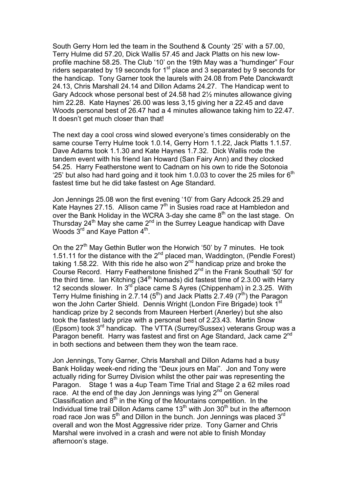South Gerry Horn led the team in the Southend & County '25' with a 57.00, Terry Hulme did 57.20, Dick Wallis 57.45 and Jack Platts on his new lowprofile machine 58.25. The Club '10' on the 19th May was a "humdinger" Four riders separated by 19 seconds for  $1<sup>st</sup>$  place and 3 separated by 9 seconds for the handicap. Tony Garner took the laurels with 24.08 from Pete Danckwardt 24.13, Chris Marshall 24.14 and Dillon Adams 24.27. The Handicap went to Gary Adcock whose personal best of 24.58 had 2½ minutes allowance giving him 22.28. Kate Haynes' 26.00 was less 3,15 giving her a 22.45 and dave Woods personal best of 26.47 had a 4 minutes allowance taking him to 22.47. It doesn't get much closer than that!

The next day a cool cross wind slowed everyone's times considerably on the same course Terry Hulme took 1.0.14, Gerry Horn 1.1.22, Jack Platts 1.1.57. Dave Adams took 1.1.30 and Kate Haynes 1.7.32. Dick Wallis rode the tandem event with his friend Ian Howard (San Fairy Ann) and they clocked 54.25. Harry Featherstone went to Cadnam on his own to ride the Sotonoia '25' but also had hard going and it took him 1.0.03 to cover the 25 miles for  $6<sup>th</sup>$ fastest time but he did take fastest on Age Standard.

Jon Jennings 25.08 won the first evening '10' from Gary Adcock 25.29 and Kate Haynes 27.15. Allison came  $7<sup>th</sup>$  in Susies road race at Hambledon and over the Bank Holiday in the WCRA 3-day she came  $8<sup>th</sup>$  on the last stage. On Thursday 24<sup>th</sup> May she came 2<sup>nd</sup> in the Surrey League handicap with Dave Woods 3<sup>rd</sup> and Kaye Patton 4<sup>th</sup>.

On the  $27<sup>th</sup>$  May Gethin Butler won the Horwich '50' by 7 minutes. He took 1.51.11 for the distance with the  $2^{nd}$  placed man, Waddington, (Pendle Forest) taking 1.58.22. With this ride he also won  $2^{nd}$  handicap prize and broke the Course Record. Harry Featherstone finished 2<sup>nd</sup> in the Frank Southall '50' for the third time. Ian Kitching  $(34<sup>th</sup>$  Nomads) did fastest time of 2.3.00 with Harry 12 seconds slower. In  $3^{rd}$  place came S Ayres (Chippenham) in 2.3.25. With Terry Hulme finishing in 2.7.14 (5<sup>th</sup>) and Jack Platts 2.7.49 (7<sup>th</sup>) the Paragon won the John Carter Shield. Dennis Wright (London Fire Brigade) took 1<sup>st</sup> handicap prize by 2 seconds from Maureen Herbert (Anerley) but she also took the fastest lady prize with a personal best of 2.23.43. Martin Snow (Epsom) took  $3^{10}$  handicap. The VTTA (Surrey/Sussex) veterans Group was a Paragon benefit. Harry was fastest and first on Age Standard, Jack came 2<sup>nd</sup> in both sections and between them they won the team race.

Jon Jennings, Tony Garner, Chris Marshall and Dillon Adams had a busy Bank Holiday week-end riding the "Deux jours en Mai". Jon and Tony were actually riding for Surrey Division whilst the other pair was representing the Paragon. Stage 1 was a 4up Team Time Trial and Stage 2 a 62 miles road race. At the end of the day Jon Jennings was lying  $2^{nd}$  on General Classification and  $8<sup>th</sup>$  in the King of the Mountains competition. In the Individual time trail Dillon Adams came  $13<sup>th</sup>$  with Jon  $30<sup>th</sup>$  but in the afternoon road race Jon was  $5<sup>th</sup>$  and Dillon in the bunch. Jon Jennings was placed  $3<sup>rd</sup>$ overall and won the Most Aggressive rider prize. Tony Garner and Chris Marshal were involved in a crash and were not able to finish Monday afternoon's stage.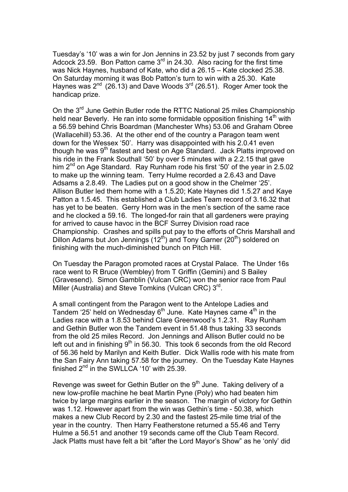Tuesday's '10' was a win for Jon Jennins in 23.52 by just 7 seconds from gary Adcock 23.59. Bon Patton came 3<sup>rd</sup> in 24.30. Also racing for the first time was Nick Haynes, husband of Kate, who did a 26.15 – Kate clocked 25.38. On Saturday morning it was Bob Patton's turn to win with a 25.30. Kate Haynes was  $2^{nd}$  (26.13) and Dave Woods  $3^{rd}$  (26.51). Roger Amer took the handicap prize.

On the 3<sup>rd</sup> June Gethin Butler rode the RTTC National 25 miles Championship held near Beverly. He ran into some formidable opposition finishing  $14<sup>th</sup>$  with a 56.59 behind Chris Boardman (Manchester Whs) 53.06 and Graham Obree (Wallacehill) 53.36. At the other end of the country a Paragon team went down for the Wessex '50'. Harry was disappointed with his 2.0.41 even though he was 9<sup>th</sup> fastest and best on Age Standard. Jack Platts improved on his ride in the Frank Southall '50' by over 5 minutes with a 2.2.15 that gave him  $2^{nd}$  on Age Standard. Ray Runham rode his first '50' of the year in 2.5.02 to make up the winning team. Terry Hulme recorded a 2.6.43 and Dave Adsams a 2.8.49. The Ladies put on a good show in the Chelmer '25'. Allison Butler led them home with a 1.5.20; Kate Haynes did 1.5.27 and Kaye Patton a 1.5.45. This established a Club Ladies Team record of 3.16.32 that has yet to be beaten. Gerry Horn was in the men's section of the same race and he clocked a 59.16. The longed-for rain that all gardeners were praying for arrived to cause havoc in the BCF Surrey Division road race Championship. Crashes and spills put pay to the efforts of Chris Marshall and Dillon Adams but Jon Jennings  $(12<sup>th</sup>)$  and Tony Garner  $(20<sup>th</sup>)$  soldered on finishing with the much-diminished bunch on Pitch Hill.

On Tuesday the Paragon promoted races at Crystal Palace. The Under 16s race went to R Bruce (Wembley) from T Griffin (Gemini) and S Bailey (Gravesend). Simon Gamblin (Vulcan CRC) won the senior race from Paul Miller (Australia) and Steve Tomkins (Vulcan CRC)  $3<sup>rd</sup>$ .

A small contingent from the Paragon went to the Antelope Ladies and Tandem '25' held on Wednesday  $6<sup>th</sup>$  June. Kate Haynes came  $4<sup>th</sup>$  in the Ladies race with a 1.8.53 behind Clare Greenwood's 1.2.31. Ray Runham and Gethin Butler won the Tandem event in 51.48 thus taking 33 seconds from the old 25 miles Record. Jon Jennings and Allison Butler could no be left out and in finishing  $9<sup>th</sup>$  in 56.30. This took 6 seconds from the old Record of 56.36 held by Marilyn and Keith Butler. Dick Wallis rode with his mate from the San Fairy Ann taking 57.58 for the journey. On the Tuesday Kate Haynes finished  $2^{nd}$  in the SWLLCA '10' with 25.39.

Revenge was sweet for Gethin Butler on the  $9<sup>th</sup>$  June. Taking delivery of a new low-profile machine he beat Martin Pyne (Poly) who had beaten him twice by large margins earlier in the season. The margin of victory for Gethin was 1.12. However apart from the win was Gethin's time - 50.38, which makes a new Club Record by 2.30 and the fastest 25-mile time trial of the year in the country. Then Harry Featherstone returned a 55.46 and Terry Hulme a 56.51 and another 19 seconds came off the Club Team Record. Jack Platts must have felt a bit "after the Lord Mayor's Show" as he 'only' did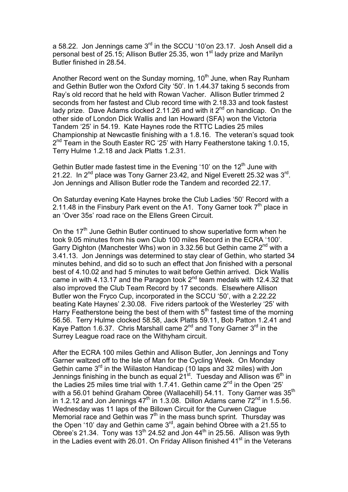a 58.22. Jon Jennings came 3rd in the SCCU '10'on 23.17. Josh Ansell did a personal best of 25.15; Allison Butler 25.35, won 1<sup>st</sup> lady prize and Marilyn Butler finished in 28.54.

Another Record went on the Sunday morning,  $10<sup>th</sup>$  June, when Ray Runham and Gethin Butler won the Oxford City '50'. In 1.44.37 taking 5 seconds from Ray's old record that he held with Rowan Vacher. Allison Butler trimmed 2 seconds from her fastest and Club record time with 2.18.33 and took fastest lady prize. Dave Adams clocked 2.11.26 and with it  $2^{nd}$  on handicap. On the other side of London Dick Wallis and Ian Howard (SFA) won the Victoria Tandem '25' in 54.19. Kate Haynes rode the RTTC Ladies 25 miles Championship at Newcastle finishing with a 1.8.16. The veteran's squad took 2<sup>nd</sup> Team in the South Easter RC '25' with Harry Featherstone taking 1.0.15, Terry Hulme 1.2.18 and Jack Platts 1.2.31.

Gethin Butler made fastest time in the Evening '10' on the  $12<sup>th</sup>$  June with 21.22. In  $2^{nd}$  place was Tony Garner 23.42, and Nigel Everett 25.32 was  $3^{rd}$ . Jon Jennings and Allison Butler rode the Tandem and recorded 22.17.

On Saturday evening Kate Haynes broke the Club Ladies '50' Record with a 2.11.48 in the Finsbury Park event on the A1. Tony Garner took  $7<sup>th</sup>$  place in an 'Over 35s' road race on the Ellens Green Circuit.

On the  $17<sup>th</sup>$  June Gethin Butler continued to show superlative form when he took 9.05 minutes from his own Club 100 miles Record in the ECRA '100'. Garry Dighton (Manchester Whs) won in 3.32.56 but Gethin came  $2^{nd}$  with a 3.41.13. Jon Jennings was determined to stay clear of Gethin, who started 34 minutes behind, and did so to such an effect that Jon finished with a personal best of 4.10.02 and had 5 minutes to wait before Gethin arrived. Dick Wallis came in with 4.13.17 and the Paragon took  $2<sup>nd</sup>$  team medals with 12.4.32 that also improved the Club Team Record by 17 seconds. Elsewhere Allison Butler won the Fryco Cup, incorporated in the SCCU '50', with a 2.22.22 beating Kate Haynes' 2.30.08. Five riders partook of the Westerley '25' with Harry Featherstone being the best of them with  $5<sup>th</sup>$  fastest time of the morning 56.56. Terry Hulme clocked 58.58, Jack Platts 59.11, Bob Patton 1.2.41 and Kaye Patton 1.6.37. Chris Marshall came  $2^{nd}$  and Tony Garner  $3^{rd}$  in the Surrey League road race on the Withyham circuit.

After the ECRA 100 miles Gethin and Allison Butler, Jon Jennings and Tony Garner waltzed off to the Isle of Man for the Cycling Week. On Monday Gethin came  $3<sup>rd</sup>$  in the Wiilaston Handicap (10 laps and 32 miles) with Jon Jennings finishing in the bunch as equal  $21^{st}$ . Tuesday and Allison was  $6^{th}$  in the Ladies 25 miles time trial with 1.7.41. Gethin came  $2^{nd}$  in the Open '25' with a 56.01 behind Graham Obree (Wallacehill) 54.11. Tony Garner was 35<sup>th</sup> in 1.2.12 and Jon Jennings  $47<sup>th</sup>$  in 1.3.08. Dillon Adams came  $72<sup>nd</sup>$  in 1.5.56. Wednesday was 11 laps of the Billown Circuit for the Curwen Clague Memorial race and Gethin was  $7<sup>th</sup>$  in the mass bunch sprint. Thursday was the Open '10' day and Gethin came  $3^{rd}$ , again behind Obree with a 21.55 to Obree's 21.34. Tony was 13<sup>th</sup> 24.52 and Jon  $44<sup>th</sup>$  in 25.56. Allison was 9yth in the Ladies event with 26.01. On Friday Allison finished  $41<sup>st</sup>$  in the Veterans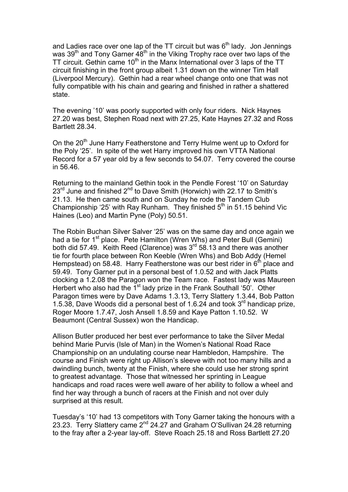and Ladies race over one lap of the TT circuit but was  $6<sup>th</sup>$  lady. Jon Jennings was 39<sup>th</sup> and Tony Garner 48<sup>th</sup> in the Viking Trophy race over two laps of the TT circuit. Gethin came 10<sup>th</sup> in the Manx International over 3 laps of the TT circuit finishing in the front group albeit 1.31 down on the winner Tim Hall (Liverpool Mercury). Gethin had a rear wheel change onto one that was not fully compatible with his chain and gearing and finished in rather a shattered state.

The evening '10' was poorly supported with only four riders. Nick Haynes 27.20 was best, Stephen Road next with 27.25, Kate Haynes 27.32 and Ross Bartlett 28.34.

On the 20<sup>th</sup> June Harry Featherstone and Terry Hulme went up to Oxford for the Poly '25'. In spite of the wet Harry improved his own VTTA National Record for a 57 year old by a few seconds to 54.07. Terry covered the course in 56.46.

Returning to the mainland Gethin took in the Pendle Forest '10' on Saturday  $23<sup>rd</sup>$  June and finished  $2<sup>nd</sup>$  to Dave Smith (Horwich) with 22.17 to Smith's 21.13. He then came south and on Sunday he rode the Tandem Club Championship '25' with Ray Runham. They finished  $5<sup>th</sup>$  in 51.15 behind Vic Haines (Leo) and Martin Pyne (Poly) 50.51.

The Robin Buchan Silver Salver '25' was on the same day and once again we had a tie for 1<sup>st</sup> place. Pete Hamilton (Wren Whs) and Peter Bull (Gemini) both did 57.49. Keith Reed (Clarence) was 3<sup>rd</sup> 58.13 and there was another tie for fourth place between Ron Keeble (Wren Whs) and Bob Addy (Hemel Hempstead) on 58.48. Harry Featherstone was our best rider in  $6<sup>th</sup>$  place and 59.49. Tony Garner put in a personal best of 1.0.52 and with Jack Platts clocking a 1.2.08 the Paragon won the Team race. Fastest lady was Maureen Herbert who also had the  $1<sup>st</sup>$  lady prize in the Frank Southall '50'. Other Paragon times were by Dave Adams 1.3.13, Terry Slattery 1.3.44, Bob Patton 1.5.38, Dave Woods did a personal best of 1.6.24 and took 3rd handicap prize, Roger Moore 1.7.47, Josh Ansell 1.8.59 and Kaye Patton 1.10.52. W Beaumont (Central Sussex) won the Handicap.

Allison Butler produced her best ever performance to take the Silver Medal behind Marie Purvis (Isle of Man) in the Women's National Road Race Championship on an undulating course near Hambledon, Hampshire. The course and Finish were right up Allison's sleeve with not too many hills and a dwindling bunch, twenty at the Finish, where she could use her strong sprint to greatest advantage. Those that witnessed her sprinting in League handicaps and road races were well aware of her ability to follow a wheel and find her way through a bunch of racers at the Finish and not over duly surprised at this result.

Tuesday's '10' had 13 competitors with Tony Garner taking the honours with a 23.23. Terry Slattery came 2<sup>nd</sup> 24.27 and Graham O'Sullivan 24.28 returning to the fray after a 2-year lay-off. Steve Roach 25.18 and Ross Bartlett 27.20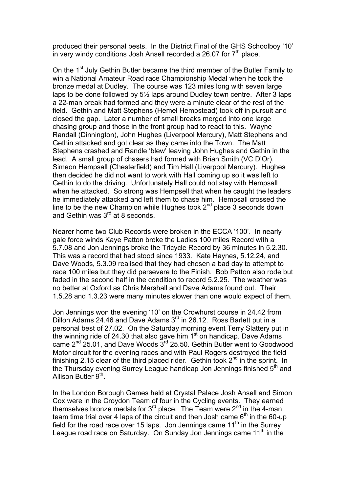produced their personal bests. In the District Final of the GHS Schoolboy '10' in very windy conditions Josh Ansell recorded a 26.07 for  $7<sup>th</sup>$  place.

On the 1<sup>st</sup> July Gethin Butler became the third member of the Butler Family to win a National Amateur Road race Championship Medal when he took the bronze medal at Dudley. The course was 123 miles long with seven large laps to be done followed by 5½ laps around Dudley town centre. After 3 laps a 22-man break had formed and they were a minute clear of the rest of the field. Gethin and Matt Stephens (Hemel Hempstead) took off in pursuit and closed the gap. Later a number of small breaks merged into one large chasing group and those in the front group had to react to this. Wayne Randall (Dinnington), John Hughes (Liverpool Mercury), Matt Stephens and Gethin attacked and got clear as they came into the Town. The Matt Stephens crashed and Randle 'blew' leaving John Hughes and Gethin in the lead. A small group of chasers had formed with Brian Smith (VC D'Or), Simeon Hempsall (Chesterfield) and Tim Hall (Liverpool Mercury). Hughes then decided he did not want to work with Hall coming up so it was left to Gethin to do the driving. Unfortunately Hall could not stay with Hempsall when he attacked. So strong was Hempsell that when he caught the leaders he immediately attacked and left them to chase him. Hempsall crossed the line to be the new Champion while Hughes took  $2<sup>nd</sup>$  place 3 seconds down and Gethin was  $3<sup>rd</sup>$  at 8 seconds.

Nearer home two Club Records were broken in the ECCA '100'. In nearly gale force winds Kaye Patton broke the Ladies 100 miles Record with a 5.7.08 and Jon Jennings broke the Tricycle Record by 36 minutes in 5.2.30. This was a record that had stood since 1933. Kate Haynes, 5.12.24, and Dave Woods, 5.3.09 realised that they had chosen a bad day to attempt to race 100 miles but they did persevere to the Finish. Bob Patton also rode but faded in the second half in the condition to record 5.2.25. The weather was no better at Oxford as Chris Marshall and Dave Adams found out. Their 1.5.28 and 1.3.23 were many minutes slower than one would expect of them.

Jon Jennings won the evening '10' on the Crowhurst course in 24.42 from Dillon Adams 24.46 and Dave Adams 3<sup>rd</sup> in 26.12. Ross Barlett put in a personal best of 27.02. On the Saturday morning event Terry Slattery put in the winning ride of 24.30 that also gave him  $1<sup>st</sup>$  on handicap. Dave Adams came  $2^{nd}$  25.01, and Dave Woods  $3^{rd}$  25.50. Gethin Butler went to Goodwood Motor circuit for the evening races and with Paul Rogers destroyed the field finishing 2.15 clear of the third placed rider. Gethin took  $2^{nd}$  in the sprint. In the Thursday evening Surrey League handicap Jon Jennings finished  $5<sup>th</sup>$  and Allison Butler 9<sup>th</sup>.

In the London Borough Games held at Crystal Palace Josh Ansell and Simon Cox were in the Croydon Team of four in the Cycling events. They earned themselves bronze medals for  $3^{rd}$  place. The Team were  $2^{nd}$  in the 4-man team time trial over 4 laps of the circuit and then Josh came  $6<sup>th</sup>$  in the 60-up field for the road race over 15 laps. Jon Jennings came  $11<sup>th</sup>$  in the Surrey League road race on Saturday. On Sunday Jon Jennings came 11<sup>th</sup> in the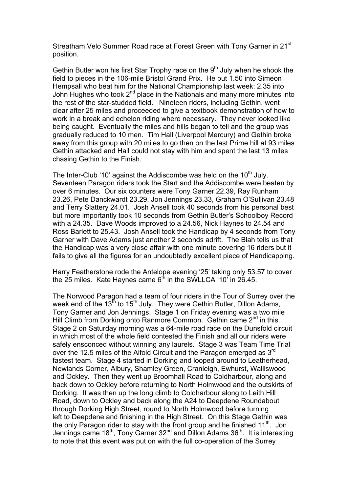Streatham Velo Summer Road race at Forest Green with Tony Garner in 21<sup>st</sup> position.

Gethin Butler won his first Star Trophy race on the  $9<sup>th</sup>$  July when he shook the field to pieces in the 106-mile Bristol Grand Prix. He put 1.50 into Simeon Hempsall who beat him for the National Championship last week: 2.35 into John Hughes who took  $2^{nd}$  place in the Nationals and many more minutes into the rest of the star-studded field. Nineteen riders, including Gethin, went clear after 25 miles and proceeded to give a textbook demonstration of how to work in a break and echelon riding where necessary. They never looked like being caught. Eventually the miles and hills began to tell and the group was gradually reduced to 10 men. Tim Hall (Liverpool Mercury) and Gethin broke away from this group with 20 miles to go then on the last Prime hill at 93 miles Gethin attacked and Hall could not stay with him and spent the last 13 miles chasing Gethin to the Finish.

The Inter-Club '10' against the Addiscombe was held on the 10<sup>th</sup> July. Seventeen Paragon riders took the Start and the Addiscombe were beaten by over 6 minutes. Our six counters were Tony Garner 22.39, Ray Runham 23.26, Pete Danckwardt 23.29, Jon Jennings 23.33, Graham O'Sullivan 23.48 and Terry Slattery 24.01. Josh Ansell took 40 seconds from his personal best but more importantly took 10 seconds from Gethin Butler's Schoolboy Record with a 24.35. Dave Woods improved to a 24.56, Nick Haynes to 24.54 and Ross Barlett to 25.43. Josh Ansell took the Handicap by 4 seconds from Tony Garner with Dave Adams just another 2 seconds adrift. The Blah tells us that the Handicap was a very close affair with one minute covering 16 riders but it fails to give all the figures for an undoubtedly excellent piece of Handicapping.

Harry Featherstone rode the Antelope evening '25' taking only 53.57 to cover the 25 miles. Kate Haynes came  $6<sup>th</sup>$  in the SWLLCA '10' in 26.45.

The Norwood Paragon had a team of four riders in the Tour of Surrey over the week end of the 13<sup>th</sup> to 15<sup>th</sup> July. They were Gethin Butler, Dillon Adams, Tony Garner and Jon Jennings. Stage 1 on Friday evening was a two mile Hill Climb from Dorking onto Ranmore Common. Gethin came  $2<sup>nd</sup>$  in this. Stage 2 on Saturday morning was a 64-mile road race on the Dunsfold circuit in which most of the whole field contested the Finish and all our riders were safely ensconced without winning any laurels. Stage 3 was Team Time Trial over the 12.5 miles of the Alfold Circuit and the Paragon emerged as 3<sup>rd</sup> fastest team. Stage 4 started in Dorking and looped around to Leatherhead, Newlands Corner, Albury, Shamley Green, Cranleigh, Ewhurst, Walliswood and Ockley. Then they went up Broomhall Road to Coldharbour, along and back down to Ockley before returning to North Holmwood and the outskirts of Dorking. It was then up the long climb to Coldharbour along to Leith Hill Road, down to Ockley and back along the A24 to Deepdene Roundabout through Dorking High Street, round to North Holmwood before turning left to Deepdene and finishing in the High Street. On this Stage Gethin was the only Paragon rider to stay with the front group and he finished  $11<sup>th</sup>$ . Jon Jennings came 18th, Tony Garner 32nd and Dillon Adams 36th. It is interesting to note that this event was put on with the full co-operation of the Surrey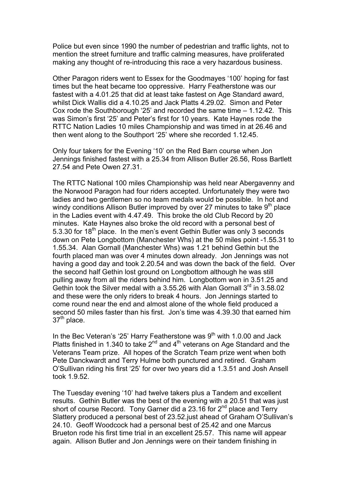Police but even since 1990 the number of pedestrian and traffic lights, not to mention the street furniture and traffic calming measures, have proliferated making any thought of re-introducing this race a very hazardous business.

Other Paragon riders went to Essex for the Goodmayes '100' hoping for fast times but the heat became too oppressive. Harry Featherstone was our fastest with a 4.01.25 that did at least take fastest on Age Standard award, whilst Dick Wallis did a 4.10.25 and Jack Platts 4.29.02. Simon and Peter Cox rode the Southborough '25' and recorded the same time – 1.12.42. This was Simon's first '25' and Peter's first for 10 years. Kate Haynes rode the RTTC Nation Ladies 10 miles Championship and was timed in at 26.46 and then went along to the Southport '25' where she recorded 1.12.45.

Only four takers for the Evening '10' on the Red Barn course when Jon Jennings finished fastest with a 25.34 from Allison Butler 26.56, Ross Bartlett 27.54 and Pete Owen 27.31.

The RTTC National 100 miles Championship was held near Abergavenny and the Norwood Paragon had four riders accepted. Unfortunately they were two ladies and two gentlemen so no team medals would be possible. In hot and windy conditions Allison Butler improved by over 27 minutes to take  $9<sup>th</sup>$  place in the Ladies event with 4.47.49. This broke the old Club Record by 20 minutes. Kate Haynes also broke the old record with a personal best of 5.3.30 for  $18<sup>th</sup>$  place. In the men's event Gethin Butler was only 3 seconds down on Pete Longbottom (Manchester Whs) at the 50 miles point -1.55.31 to 1.55.34. Alan Gornall (Manchester Whs) was 1.21 behind Gethin but the fourth placed man was over 4 minutes down already. Jon Jennings was not having a good day and took 2.20.54 and was down the back of the field. Over the second half Gethin lost ground on Longbottom although he was still pulling away from all the riders behind him. Longbottom won in 3.51.25 and Gethin took the Silver medal with a 3.55.26 with Alan Gornall  $3^{rd}$  in 3.58.02 and these were the only riders to break 4 hours. Jon Jennings started to come round near the end and almost alone of the whole field produced a second 50 miles faster than his first. Jon's time was 4.39.30 that earned him 37<sup>th</sup> place.

In the Bec Veteran's '25' Harry Featherstone was  $9<sup>th</sup>$  with 1.0.00 and Jack Platts finished in 1.340 to take  $2^{nd}$  and  $4^{th}$  veterans on Age Standard and the Veterans Team prize. All hopes of the Scratch Team prize went when both Pete Danckwardt and Terry Hulme both punctured and retired. Graham O'Sullivan riding his first '25' for over two years did a 1.3.51 and Josh Ansell took 1.9.52.

The Tuesday evening '10' had twelve takers plus a Tandem and excellent results. Gethin Butler was the best of the evening with a 20.51 that was just short of course Record. Tony Garner did a 23.16 for  $2^{nd}$  place and Terry Slattery produced a personal best of 23.52.just ahead of Graham O'Sullivan's 24.10. Geoff Woodcock had a personal best of 25.42 and one Marcus Brueton rode his first time trial in an excellent 25.57. This name will appear again. Allison Butler and Jon Jennings were on their tandem finishing in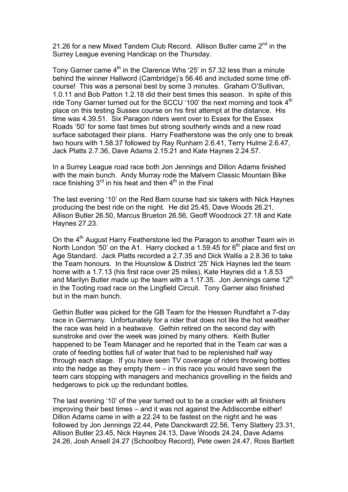21.26 for a new Mixed Tandem Club Record. Allison Butler came  $2^{nd}$  in the Surrey League evening Handicap on the Thursday.

Tony Garner came  $4<sup>th</sup>$  in the Clarence Whs '25' in 57.32 less than a minute behind the winner Hallword (Cambridge)'s 56.46 and included some time offcourse! This was a personal best by some 3 minutes. Graham O'Sullivan, 1.0.11 and Bob Patton 1.2.18 did their best times this season. In spite of this ride Tony Garner turned out for the SCCU '100' the next morning and took 4<sup>th</sup> place on this testing Sussex course on his first attempt at the distance. His time was 4.39.51. Six Paragon riders went over to Essex for the Essex Roads '50' for some fast times but strong southerly winds and a new road surface sabotaged their plans. Harry Featherstone was the only one to break two hours with 1.58.37 followed by Ray Runham 2.6.41, Terry Hulme 2.6.47, Jack Platts 2.7.36, Dave Adams 2.15.21 and Kate Haynes 2.24.57.

In a Surrey League road race both Jon Jennings and Dillon Adams finished with the main bunch. Andy Murray rode the Malvern Classic Mountain Bike race finishing  $3<sup>rd</sup>$  in his heat and then  $4<sup>th</sup>$  in the Final

The last evening '10' on the Red Barn course had six takers with Nick Haynes producing the best ride on the night. He did 25.45, Dave Woods 26.21, Allison Butler 26.50, Marcus Brueton 26.56, Geoff Woodcock 27.18 and Kate Haynes 27.23.

On the  $4<sup>th</sup>$  August Harry Featherstone led the Paragon to another Team win in North London '50' on the A1. Harry clocked a 1.59.45 for  $6<sup>th</sup>$  place and first on Age Standard. Jack Platts recorded a 2.7.35 and Dick Wallis a 2.8.36 to take the Team honours. In the Hounslow & District '25' Nick Haynes led the team home with a 1.7.13 (his first race over 25 miles), Kate Haynes did a 1.8.53 and Marilyn Butler made up the team with a 1.17.35. Jon Jennings came 12<sup>th</sup> in the Tooting road race on the Lingfield Circuit. Tony Garner also finished but in the main bunch.

Gethin Butler was picked for the GB Team for the Hessen Rundfahrt a 7-day race in Germany. Unfortunately for a rider that does not like the hot weather the race was held in a heatwave. Gethin retired on the second day with sunstroke and over the week was joined by many others. Keith Butler happened to be Team Manager and he reported that in the Team car was a crate of feeding bottles full of water that had to be replenished half way through each stage. If you have seen TV coverage of riders throwing bottles into the hedge as they empty them – in this race you would have seen the team cars stopping with managers and mechanics grovelling in the fields and hedgerows to pick up the redundant bottles.

The last evening '10' of the year turned out to be a cracker with all finishers improving their best times – and it was not against the Addiscombe either! Dillon Adams came in with a 22.24 to be fastest on the night and he was followed by Jon Jennings 22.44, Pete Danckwardt 22.56, Terry Slattery 23.31, Allison Butler 23.45, Nick Haynes 24.13, Dave Woods 24.24, Dave Adams 24.26, Josh Ansell 24.27 (Schoolboy Record), Pete owen 24.47, Ross Bartlett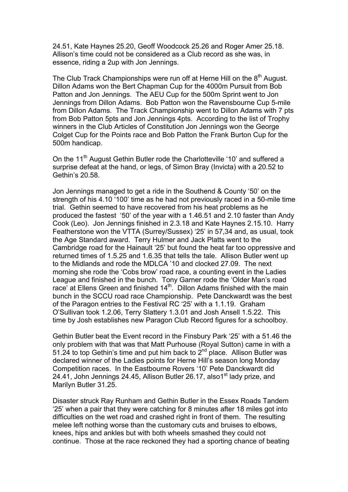24.51, Kate Haynes 25.20, Geoff Woodcock 25.26 and Roger Amer 25.18. Allison's time could not be considered as a Club record as she was, in essence, riding a 2up with Jon Jennings.

The Club Track Championships were run off at Herne Hill on the  $8<sup>th</sup>$  August. Dillon Adams won the Bert Chapman Cup for the 4000m Pursuit from Bob Patton and Jon Jennings. The AEU Cup for the 500m Sprint went to Jon Jennings from Dillon Adams. Bob Patton won the Ravensbourne Cup 5-mile from Dillon Adams. The Track Championship went to Dillon Adams with 7 pts from Bob Patton 5pts and Jon Jennings 4pts. According to the list of Trophy winners in the Club Articles of Constitution Jon Jennings won the George Colget Cup for the Points race and Bob Patton the Frank Burton Cup for the 500m handicap.

On the 11<sup>th</sup> August Gethin Butler rode the Charlotteville '10' and suffered a surprise defeat at the hand, or legs, of Simon Bray (Invicta) with a 20.52 to Gethin's 20.58.

Jon Jennings managed to get a ride in the Southend & County '50' on the strength of his 4.10 '100' time as he had not previously raced in a 50-mile time trial. Gethin seemed to have recovered from his heat problems as he produced the fastest '50' of the year with a 1.46.51 and 2.10 faster than Andy Cook (Leo). Jon Jennings finished in 2.3.18 and Kate Haynes 2.15.10. Harry Featherstone won the VTTA (Surrey/Sussex) '25' in 57,34 and, as usual, took the Age Standard award. Terry Hulmer and Jack Platts went to the Cambridge road for the Hainault '25' but found the heat far too oppressive and returned times of 1.5.25 and 1.6.35 that tells the tale. Allison Butler went up to the Midlands and rode the MDLCA '10 and clocked 27.09. The next morning she rode the 'Cobs brow' road race, a counting event in the Ladies League and finished in the bunch. Tony Garner rode the 'Older Man's road race' at Ellens Green and finished 14<sup>th</sup>. Dillon Adams finished with the main bunch in the SCCU road race Championship. Pete Danckwardt was the best of the Paragon entries to the Festival RC '25' with a 1.1.19. Graham O'Sullivan took 1.2.06, Terry Slattery 1.3.01 and Josh Ansell 1.5.22. This time by Josh establishes new Paragon Club Record figures for a schoolboy.

Gethin Butler beat the Event record in the Finsbury Park '25' with a 51.46 the only problem with that was that Matt Purhouse (Royal Sutton) came in with a 51.24 to top Gethin's time and put him back to  $2^{nd}$  place. Allison Butler was declared winner of the Ladies points for Herne Hill's season long Monday Competition races. In the Eastbourne Rovers '10' Pete Danckwardt did 24.41, John Jennings 24.45, Allison Butler 26.17, also1<sup>st</sup> lady prize, and Marilyn Butler 31.25.

Disaster struck Ray Runham and Gethin Butler in the Essex Roads Tandem '25' when a pair that they were catching for 8 minutes after 18 miles got into difficulties on the wet road and crashed right in front of them. The resulting melee left nothing worse than the customary cuts and bruises to elbows, knees, hips and ankles but with both wheels smashed they could not continue. Those at the race reckoned they had a sporting chance of beating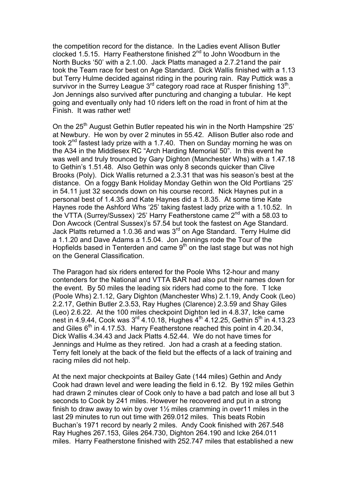the competition record for the distance. In the Ladies event Allison Butler clocked 1.5.15. Harry Featherstone finished  $2^{nd}$  to John Woodburn in the North Bucks '50' with a 2.1.00. Jack Platts managed a 2.7.21and the pair took the Team race for best on Age Standard. Dick Wallis finished with a 1.13 but Terry Hulme decided against riding in the pouring rain. Ray Puttick was a survivor in the Surrey League  $3^{rd}$  category road race at Rusper finishing 13<sup>th</sup>. Jon Jennings also survived after puncturing and changing a tubular. He kept going and eventually only had 10 riders left on the road in front of him at the Finish. It was rather wet!

On the 25<sup>th</sup> August Gethin Butler repeated his win in the North Hampshire '25' at Newbury. He won by over 2 minutes in 55.42. Allison Butler also rode and took 2<sup>nd</sup> fastest lady prize with a 1.7.40. Then on Sunday morning he was on the A34 in the Middlesex RC "Arch Harding Memorial 50". In this event he was well and truly trounced by Gary Dighton (Manchester Whs) with a 1.47.18 to Gethin's 1.51.48. Also Gethin was only 8 seconds quicker than Clive Brooks (Poly). Dick Wallis returned a 2.3.31 that was his season's best at the distance. On a foggy Bank Holiday Monday Gethin won the Old Portlians '25' in 54.11 just 32 seconds down on his course record. Nick Haynes put in a personal best of 1.4.35 and Kate Haynes did a 1.8.35. At some time Kate Haynes rode the Ashford Whs '25' taking fastest lady prize with a 1.10.52. In the VTTA (Surrey/Sussex) '25' Harry Featherstone came 2<sup>nd</sup> with a 58.03 to Don Awcock (Central Sussex)'s 57.54 but took the fastest on Age Standard. Jack Platts returned a 1.0.36 and was  $3<sup>rd</sup>$  on Age Standard. Terry Hulme did a 1.1.20 and Dave Adams a 1.5.04. Jon Jennings rode the Tour of the Hopfields based in Tenterden and came  $9<sup>th</sup>$  on the last stage but was not high on the General Classification.

The Paragon had six riders entered for the Poole Whs 12-hour and many contenders for the National and VTTA BAR had also put their names down for the event. By 50 miles the leading six riders had come to the fore. T Icke (Poole Whs) 2.1.12, Gary Dighton (Manchester Whs) 2.1.19, Andy Cook (Leo) 2.2.17, Gethin Butler 2.3.53, Ray Hughes (Clarence) 2.3.59 and Shay Giles (Leo) 2.6.22. At the 100 miles checkpoint Dighton led in 4.8.37, Icke came nest in 4.9.44, Cook was  $3^{rd}$  4.10.18, Hughes  $4^{th}$  4.12.25, Gethin  $5^{th}$  in 4.13.23 and Giles  $6<sup>th</sup>$  in 4.17.53. Harry Featherstone reached this point in 4.20.34, Dick Wallis 4.34.43 and Jack Platts 4.52.44. We do not have times for Jennings and Hulme as they retired. Jon had a crash at a feeding station. Terry felt lonely at the back of the field but the effects of a lack of training and racing miles did not help.

At the next major checkpoints at Bailey Gate (144 miles) Gethin and Andy Cook had drawn level and were leading the field in 6.12. By 192 miles Gethin had drawn 2 minutes clear of Cook only to have a bad patch and lose all but 3 seconds to Cook by 241 miles. However he recovered and put in a strong finish to draw away to win by over 1½ miles cramming in over11 miles in the last 29 minutes to run out time with 269.012 miles. This beats Robin Buchan's 1971 record by nearly 2 miles. Andy Cook finished with 267.548 Ray Hughes 267.153, Giles 264.730, Dighton 264.190 and Icke 264.011 miles. Harry Featherstone finished with 252.747 miles that established a new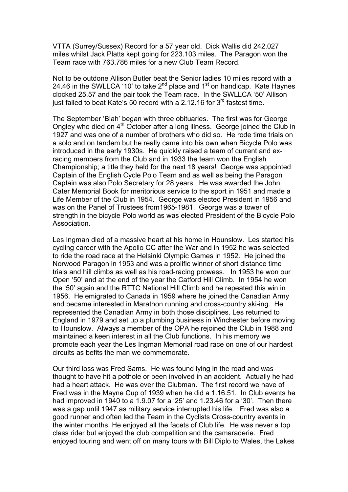VTTA (Surrey/Sussex) Record for a 57 year old. Dick Wallis did 242.027 miles whilst Jack Platts kept going for 223.103 miles. The Paragon won the Team race with 763.786 miles for a new Club Team Record.

Not to be outdone Allison Butler beat the Senior ladies 10 miles record with a 24.46 in the SWLLCA '10' to take  $2^{nd}$  place and  $1^{st}$  on handicap. Kate Haynes clocked 25.57 and the pair took the Team race. In the SWLLCA '50' Allison just failed to beat Kate's 50 record with a 2.12.16 for  $3<sup>rd</sup>$  fastest time.

The September 'Blah' began with three obituaries. The first was for George Ongley who died on  $4<sup>th</sup>$  October after a long illness. George joined the Club in 1927 and was one of a number of brothers who did so. He rode time trials on a solo and on tandem but he really came into his own when Bicycle Polo was introduced in the early 1930s. He quickly raised a team of current and exracing members from the Club and in 1933 the team won the English Championship; a title they held for the next 18 years! George was appointed Captain of the English Cycle Polo Team and as well as being the Paragon Captain was also Polo Secretary for 28 years. He was awarded the John Cater Memorial Book for meritorious service to the sport in 1951 and made a Life Member of the Club in 1954. George was elected President in 1956 and was on the Panel of Trustees from1965-1981. George was a tower of strength in the bicycle Polo world as was elected President of the Bicycle Polo Association.

Les Ingman died of a massive heart at his home in Hounslow. Les started his cycling career with the Apollo CC after the War and in 1952 he was selected to ride the road race at the Helsinki Olympic Games in 1952. He joined the Norwood Paragon in 1953 and was a prolific winner of short distance time trials and hill climbs as well as his road-racing prowess. In 1953 he won our Open '50' and at the end of the year the Catford Hill Climb. In 1954 he won the '50' again and the RTTC National Hill Climb and he repeated this win in 1956. He emigrated to Canada in 1959 where he joined the Canadian Army and became interested in Marathon running and cross-country ski-ing. He represented the Canadian Army in both those disciplines. Les returned to England in 1979 and set up a plumbing business in Winchester before moving to Hounslow. Always a member of the OPA he rejoined the Club in 1988 and maintained a keen interest in all the Club functions. In his memory we promote each year the Les Ingman Memorial road race on one of our hardest circuits as befits the man we commemorate.

Our third loss was Fred Sams. He was found lying in the road and was thought to have hit a pothole or been involved in an accident. Actually he had had a heart attack. He was ever the Clubman. The first record we have of Fred was in the Mayne Cup of 1939 when he did a 1.16.51. In Club events he had improved in 1940 to a 1.9.07 for a '25' and 1.23.46 for a '30'. Then there was a gap until 1947 as military service interrupted his life. Fred was also a good runner and often led the Team in the Cyclists Cross-country events in the winter months. He enjoyed all the facets of Club life. He was never a top class rider but enjoyed the club competition and the camaraderie. Fred enjoyed touring and went off on many tours with Bill Diplo to Wales, the Lakes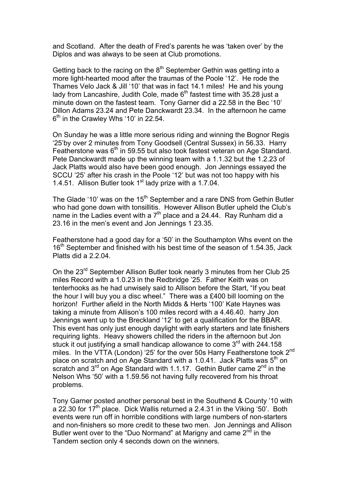and Scotland. After the death of Fred's parents he was 'taken over' by the Diplos and was always to be seen at Club promotions.

Getting back to the racing on the  $8<sup>th</sup>$  September Gethin was getting into a more light-hearted mood after the traumas of the Poole '12'. He rode the Thames Velo Jack & Jill '10' that was in fact 14.1 miles! He and his young lady from Lancashire, Judith Cole, made  $6<sup>th</sup>$  fastest time with 35.28 just a minute down on the fastest team. Tony Garner did a 22.58 in the Bec '10' Dillon Adams 23.24 and Pete Danckwardt 23.34. In the afternoon he came  $6<sup>th</sup>$  in the Crawley Whs '10' in 22.54.

On Sunday he was a little more serious riding and winning the Bognor Regis '25'by over 2 minutes from Tony Goodsell (Central Sussex) in 56.33. Harry Featherstone was 6<sup>th</sup> in 59.55 but also took fastest veteran on Age Standard. Pete Danckwardt made up the winning team with a 1.1.32 but the 1.2.23 of Jack Platts would also have been good enough. Jon Jennings essayed the SCCU '25' after his crash in the Poole '12' but was not too happy with his 1.4.51. Allison Butler took  $1<sup>st</sup>$  lady prize with a 1.7.04.

The Glade '10' was on the 15<sup>th</sup> September and a rare DNS from Gethin Butler who had gone down with tonsillitis. However Allison Butler upheld the Club's name in the Ladies event with a  $7<sup>th</sup>$  place and a 24.44. Ray Runham did a 23.16 in the men's event and Jon Jennings 1 23.35.

Featherstone had a good day for a '50' in the Southampton Whs event on the 16<sup>th</sup> September and finished with his best time of the season of 1.54.35, Jack Platts did a 2.2.04.

On the 23<sup>rd</sup> September Allison Butler took nearly 3 minutes from her Club 25 miles Record with a 1.0.23 in the Redbridge '25. Father Keith was on tenterhooks as he had unwisely said to Allison before the Start, "If you beat the hour I will buy you a disc wheel." There was a £400 bill looming on the horizon! Further afield in the North Midds & Herts '100' Kate Haynes was taking a minute from Allison's 100 miles record with a 4.46.40. harry Jon Jennings went up to the Breckland '12' to get a qualification for the BBAR. This event has only just enough daylight with early starters and late finishers requiring lights. Heavy showers chilled the riders in the afternoon but Jon stuck it out justifying a small handicap allowance to come 3<sup>rd</sup> with 244.158 miles. In the VTTA (London) '25' for the over 50s Harry Featherstone took 2<sup>nd</sup> place on scratch and on Age Standard with a 1.0.41. Jack Platts was  $5<sup>th</sup>$  on scratch and  $3<sup>rd</sup>$  on Age Standard with 1.1.17. Gethin Butler came  $2<sup>nd</sup>$  in the Nelson Whs '50' with a 1.59.56 not having fully recovered from his throat problems.

Tony Garner posted another personal best in the Southend & County '10 with a 22.30 for  $17<sup>th</sup>$  place. Dick Wallis returned a 2.4.31 in the Viking '50'. Both events were run off in horrible conditions with large numbers of non-starters and non-finishers so more credit to these two men. Jon Jennings and Allison Butler went over to the "Duo Normand" at Marigny and came  $2<sup>nd</sup>$  in the Tandem section only 4 seconds down on the winners.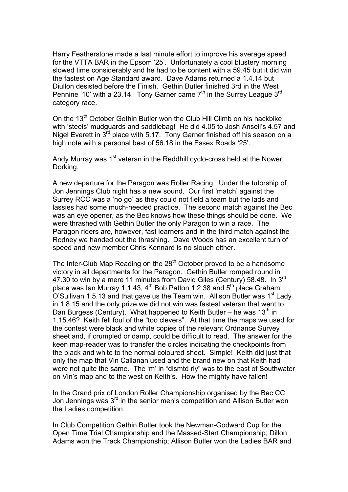Harry Featherstone made a last minute effort to improve his average speed for the VTTA BAR in the Epsom '25'. Unfortunately a cool blustery morning slowed time considerably and he had to be content with a 59.45 but it did win the fastest on Age Standard award. Dave Adams returned a 1.4.14 but Diullon desisted before the Finish. Gethin Butler finished 3rd in the West Pennine '10' with a 23.14. Tony Garner came  $7<sup>th</sup>$  in the Surrey League  $3<sup>rd</sup>$ category race.

On the  $13<sup>th</sup>$  October Gethin Butler won the Club Hill Climb on his hackbike with 'steels' mudguards and saddlebag! He did 4.05 to Josh Ansell's 4.57 and Nigel Everett in 3rd place with 5.17. Tony Garner finished off his season on a high note with a personal best of 56.18 in the Essex Roads '25'.

Andy Murray was 1<sup>st</sup> veteran in the Reddhill cyclo-cross held at the Nower Dorking.

A new departure for the Paragon was Roller Racing. Under the tutorship of Jon Jennings Club night has a new sound. Our first 'match' against the Surrey RCC was a 'no go' as they could not field a team but the lads and lassies had some much-needed practice. The second match against the Bec was an eye opener, as the Bec knows how these things should be done. We were thrashed with Gethin Butler the only Paragon to win a race. The Paragon riders are, however, fast learners and in the third match against the Rodney we handed out the thrashing. Dave Woods has an excellent turn of speed and new member Chris Kennard is no slouch either.

The Inter-Club Map Reading on the 28<sup>th</sup> October proved to be a handsome victory in all departments for the Paragon. Gethin Butler romped round in 47.30 to win by a mere 11 minutes from David Giles (Century) 58.48. In 3rd place was Ian Murray 1.1.43,  $4<sup>th</sup>$  Bob Patton 1.2.38 and  $5<sup>th</sup>$  place Graham O'Sullivan 1.5.13 and that gave us the Team win. Allison Butler was  $1<sup>st</sup>$  Lady in 1.8.15 and the only prize we did not win was fastest veteran that went to Dan Burgess (Century). What happened to Keith Butler – he was  $13<sup>th</sup>$  in 1.15.46? Keith fell foul of the "too clevers". At that time the maps we used for the contest were black and white copies of the relevant Ordnance Survey sheet and, if crumpled or damp, could be difficult to read. The answer for the keen map-reader was to transfer the circles indicating the checkpoints from the black and white to the normal coloured sheet. Simple! Keith did just that only the map that Vin Callanan used and the brand new on that Keith had were not quite the same. The 'm' in "dismtd rly" was to the east of Southwater on Vin's map and to the west on Keith's. How the mighty have fallen!

In the Grand prix of London Roller Championship organised by the Bec CC Jon Jennings was 3<sup>rd</sup> in the senior men's competition and Allison Butler won the Ladies competition.

In Club Competition Gethin Butler took the Newman-Godward Cup for the Open Time Trial Championship and the Massed-Start Championship; Dillon Adams won the Track Championship; Allison Butler won the Ladies BAR and